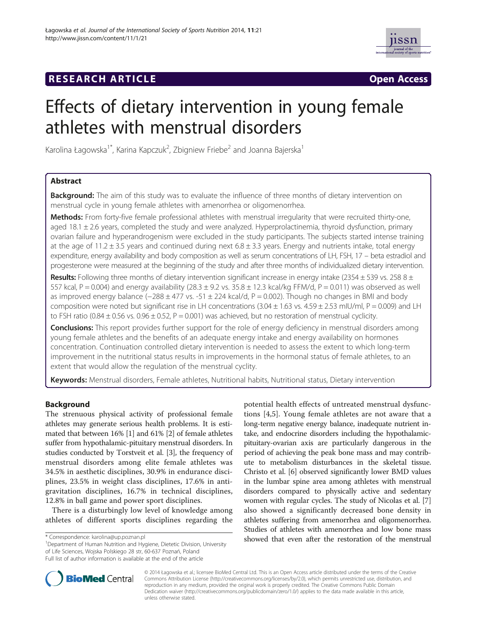## **RESEARCH ARTICLE Example 2018 12:00 Open Access**



# Effects of dietary intervention in young female athletes with menstrual disorders

Karolina Łagowska $^{\dagger}$ , Karina Kapczuk $^2$ , Zbigniew Friebe $^2$  and Joanna Bajerska $^1$ 

## Abstract

**Background:** The aim of this study was to evaluate the influence of three months of dietary intervention on menstrual cycle in young female athletes with amenorrhea or oligomenorrhea.

Methods: From forty-five female professional athletes with menstrual irregularity that were recruited thirty-one, aged  $18.1 \pm 2.6$  years, completed the study and were analyzed. Hyperprolactinemia, thyroid dysfunction, primary ovarian failure and hyperandrogenism were excluded in the study participants. The subjects started intense training at the age of  $11.2 \pm 3.5$  years and continued during next  $6.8 \pm 3.3$  years. Energy and nutrients intake, total energy expenditure, energy availability and body composition as well as serum concentrations of LH, FSH, 17 – beta estradiol and progesterone were measured at the beginning of the study and after three months of individualized dietary intervention.

**Results:** Following three months of dietary intervention significant increase in energy intake (2354  $\pm$  539 vs. 258 8  $\pm$ 557 kcal, P = 0.004) and energy availability (28.3  $\pm$  9.2 vs. 35.8  $\pm$  12.3 kcal/kg FFM/d, P = 0.011) was observed as well as improved energy balance ( $-288 \pm 477$  vs.  $-51 \pm 224$  kcal/d,  $P = 0.002$ ). Though no changes in BMI and body composition were noted but significant rise in LH concentrations  $(3.04 \pm 1.63 \text{ vs. } 4.59 \pm 2.53 \text{ m}$ IU/ml, P = 0.009) and LH to FSH ratio (0.84  $\pm$  0.56 vs. 0.96  $\pm$  0.52, P = 0.001) was achieved, but no restoration of menstrual cyclicity.

**Conclusions:** This report provides further support for the role of energy deficiency in menstrual disorders among young female athletes and the benefits of an adequate energy intake and energy availability on hormones concentration. Continuation controlled dietary intervention is needed to assess the extent to which long-term improvement in the nutritional status results in improvements in the hormonal status of female athletes, to an extent that would allow the regulation of the menstrual cyclity.

Keywords: Menstrual disorders, Female athletes, Nutritional habits, Nutritional status, Dietary intervention

## Background

The strenuous physical activity of professional female athletes may generate serious health problems. It is estimated that between 16% [\[1](#page-6-0)] and 61% [\[2](#page-6-0)] of female athletes suffer from hypothalamic-pituitary menstrual disorders. In studies conducted by Torstveit et al. [[3\]](#page-6-0), the frequency of menstrual disorders among elite female athletes was 34.5% in aesthetic disciplines, 30.9% in endurance disciplines, 23.5% in weight class disciplines, 17.6% in antigravitation disciplines, 16.7% in technical disciplines, 12.8% in ball game and power sport disciplines.

There is a disturbingly low level of knowledge among athletes of different sports disciplines regarding the

<sup>1</sup>Department of Human Nutrition and Hygiene, Dietetic Division, University of Life Sciences, Wojska Polskiego 28 str, 60-637 Poznań, Poland Full list of author information is available at the end of the article

potential health effects of untreated menstrual dysfunctions [\[4](#page-6-0),[5\]](#page-6-0). Young female athletes are not aware that a long-term negative energy balance, inadequate nutrient intake, and endocrine disorders including the hypothalamicpituitary-ovarian axis are particularly dangerous in the period of achieving the peak bone mass and may contribute to metabolism disturbances in the skeletal tissue. Christo et al. [\[6\]](#page-6-0) observed significantly lower BMD values in the lumbar spine area among athletes with menstrual disorders compared to physically active and sedentary women with regular cycles. The study of Nicolas et al. [[7](#page-6-0)] also showed a significantly decreased bone density in athletes suffering from amenorrhea and oligomenorrhea. Studies of athletes with amenorrhea and low bone mass showed that even after the restoration of the menstrual \* Correspondence: [karolina@up.poznan.pl](mailto:karolina@up.poznan.pl) <sup>1</sup>



© 2014 Łagowska et al.; licensee BioMed Central Ltd. This is an Open Access article distributed under the terms of the Creative Commons Attribution License [\(http://creativecommons.org/licenses/by/2.0\)](http://creativecommons.org/licenses/by/2.0), which permits unrestricted use, distribution, and reproduction in any medium, provided the original work is properly credited. The Creative Commons Public Domain Dedication waiver [\(http://creativecommons.org/publicdomain/zero/1.0/](http://creativecommons.org/publicdomain/zero/1.0/)) applies to the data made available in this article, unless otherwise stated.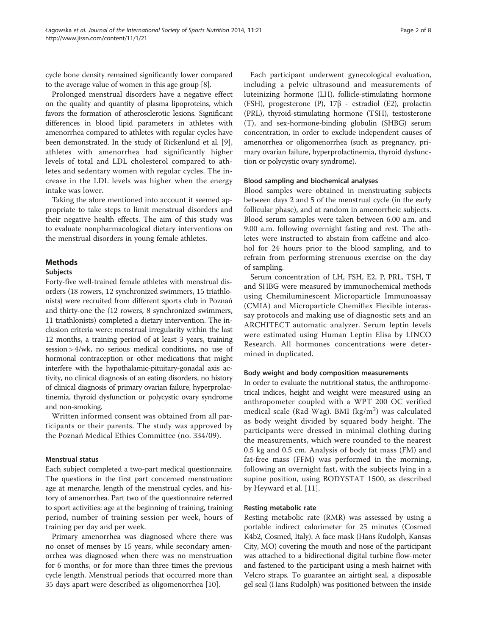cycle bone density remained significantly lower compared to the average value of women in this age group [[8\]](#page-6-0).

Prolonged menstrual disorders have a negative effect on the quality and quantity of plasma lipoproteins, which favors the formation of atherosclerotic lesions. Significant differences in blood lipid parameters in athletes with amenorrhea compared to athletes with regular cycles have been demonstrated. In the study of Rickenlund et al. [[9](#page-6-0)], athletes with amenorrhea had significantly higher levels of total and LDL cholesterol compared to athletes and sedentary women with regular cycles. The increase in the LDL levels was higher when the energy intake was lower.

Taking the afore mentioned into account it seemed appropriate to take steps to limit menstrual disorders and their negative health effects. The aim of this study was to evaluate nonpharmacological dietary interventions on the menstrual disorders in young female athletes.

## Methods

## Subjects

Forty-five well-trained female athletes with menstrual disorders (18 rowers, 12 synchronized swimmers, 15 triathlonists) were recruited from different sports club in Poznań and thirty-one the (12 rowers, 8 synchronized swimmers, 11 triathlonists) completed a dietary intervention. The inclusion criteria were: menstrual irregularity within the last 12 months, a training period of at least 3 years, training session > 4/wk, no serious medical conditions, no use of hormonal contraception or other medications that might interfere with the hypothalamic-pituitary-gonadal axis activity, no clinical diagnosis of an eating disorders, no history of clinical diagnosis of primary ovarian failure, hyperprolactinemia, thyroid dysfunction or polycystic ovary syndrome and non-smoking.

Written informed consent was obtained from all participants or their parents. The study was approved by the Poznań Medical Ethics Committee (no. 334/09).

## Menstrual status

Each subject completed a two-part medical questionnaire. The questions in the first part concerned menstruation: age at menarche, length of the menstrual cycles, and history of amenorrhea. Part two of the questionnaire referred to sport activities: age at the beginning of training, training period, number of training session per week, hours of training per day and per week.

Primary amenorrhea was diagnosed where there was no onset of menses by 15 years, while secondary amenorrhea was diagnosed when there was no menstruation for 6 months, or for more than three times the previous cycle length. Menstrual periods that occurred more than 35 days apart were described as oligomenorrhea [[10\]](#page-6-0).

Each participant underwent gynecological evaluation, including a pelvic ultrasound and measurements of luteinizing hormone (LH), follicle-stimulating hormone (FSH), progesterone (P), 17β - estradiol (E2), prolactin (PRL), thyroid-stimulating hormone (TSH), testosterone (T), and sex-hormone-binding globulin (SHBG) serum concentration, in order to exclude independent causes of amenorrhea or oligomenorrhea (such as pregnancy, primary ovarian failure, hyperprolactinemia, thyroid dysfunction or polycystic ovary syndrome).

## Blood sampling and biochemical analyses

Blood samples were obtained in menstruating subjects between days 2 and 5 of the menstrual cycle (in the early follicular phase), and at random in amenorrheic subjects. Blood serum samples were taken between 6.00 a.m. and 9.00 a.m. following overnight fasting and rest. The athletes were instructed to abstain from caffeine and alcohol for 24 hours prior to the blood sampling, and to refrain from performing strenuous exercise on the day of sampling.

Serum concentration of LH, FSH, E2, P, PRL, TSH, T and SHBG were measured by immunochemical methods using Chemiluminescent Microparticle Immunoassay (CMIA) and Microparticle Chemiflex Flexible interassay protocols and making use of diagnostic sets and an ARCHITECT automatic analyzer. Serum leptin levels were estimated using Human Leptin Elisa by LINCO Research. All hormones concentrations were determined in duplicated.

## Body weight and body composition measurements

In order to evaluate the nutritional status, the anthropometrical indices, height and weight were measured using an anthropometer coupled with a WPT 200 OC verified medical scale (Rad Wag). BMI (kg/m<sup>2</sup>) was calculated as body weight divided by squared body height. The participants were dressed in minimal clothing during the measurements, which were rounded to the nearest 0.5 kg and 0.5 cm. Analysis of body fat mass (FM) and fat-free mass (FFM) was performed in the morning, following an overnight fast, with the subjects lying in a supine position, using BODYSTAT 1500, as described by Heyward et al. [[11](#page-6-0)].

## Resting metabolic rate

Resting metabolic rate (RMR) was assessed by using a portable indirect calorimeter for 25 minutes (Cosmed K4b2, Cosmed, Italy). A face mask (Hans Rudolph, Kansas City, MO) covering the mouth and nose of the participant was attached to a bidirectional digital turbine flow-meter and fastened to the participant using a mesh hairnet with Velcro straps. To guarantee an airtight seal, a disposable gel seal (Hans Rudolph) was positioned between the inside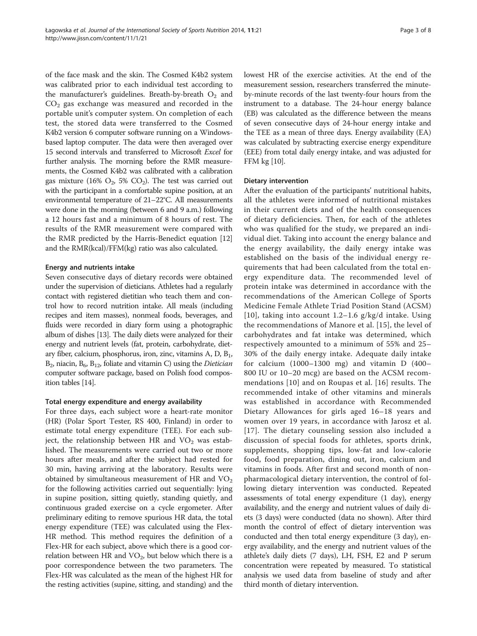of the face mask and the skin. The Cosmed K4b2 system was calibrated prior to each individual test according to the manufacturer's guidelines. Breath-by-breath  $O_2$  and  $CO<sub>2</sub>$  gas exchange was measured and recorded in the portable unit's computer system. On completion of each test, the stored data were transferred to the Cosmed K4b2 version 6 computer software running on a Windowsbased laptop computer. The data were then averaged over 15 second intervals and transferred to Microsoft Excel for further analysis. The morning before the RMR measurements, the Cosmed K4b2 was calibrated with a calibration gas mixture (16%  $O_2$ , 5%  $CO_2$ ). The test was carried out with the participant in a comfortable supine position, at an environmental temperature of 21–22°C. All measurements were done in the morning (between 6 and 9 a.m.) following a 12 hours fast and a minimum of 8 hours of rest. The results of the RMR measurement were compared with the RMR predicted by the Harris-Benedict equation [[12](#page-6-0)] and the RMR(kcal)/FFM(kg) ratio was also calculated.

## Energy and nutrients intake

Seven consecutive days of dietary records were obtained under the supervision of dieticians. Athletes had a regularly contact with registered dietitian who teach them and control how to record nutrition intake. All meals (including recipes and item masses), nonmeal foods, beverages, and fluids were recorded in diary form using a photographic album of dishes [[13](#page-6-0)]. The daily diets were analyzed for their energy and nutrient levels (fat, protein, carbohydrate, dietary fiber, calcium, phosphorus, iron, zinc, vitamins  $A$ ,  $D$ ,  $B_1$ ,  $B_2$ , niacin,  $B_6$ ,  $B_{12}$ , foliate and vitamin C) using the *Dietician* computer software package, based on Polish food composition tables [\[14\]](#page-6-0).

## Total energy expenditure and energy availability

For three days, each subject wore a heart-rate monitor (HR) (Polar Sport Tester, RS 400, Finland) in order to estimate total energy expenditure (TEE). For each subject, the relationship between HR and  $VO<sub>2</sub>$  was established. The measurements were carried out two or more hours after meals, and after the subject had rested for 30 min, having arriving at the laboratory. Results were obtained by simultaneous measurement of HR and  $VO<sub>2</sub>$ for the following activities carried out sequentially: lying in supine position, sitting quietly, standing quietly, and continuous graded exercise on a cycle ergometer. After preliminary editing to remove spurious HR data, the total energy expenditure (TEE) was calculated using the Flex-HR method. This method requires the definition of a Flex-HR for each subject, above which there is a good correlation between HR and  $VO<sub>2</sub>$ , but below which there is a poor correspondence between the two parameters. The Flex-HR was calculated as the mean of the highest HR for the resting activities (supine, sitting, and standing) and the lowest HR of the exercise activities. At the end of the measurement session, researchers transferred the minuteby-minute records of the last twenty-four hours from the instrument to a database. The 24-hour energy balance (EB) was calculated as the difference between the means of seven consecutive days of 24-hour energy intake and the TEE as a mean of three days. Energy availability (EA) was calculated by subtracting exercise energy expenditure (EEE) from total daily energy intake, and was adjusted for FFM kg [[10](#page-6-0)].

## Dietary intervention

After the evaluation of the participants' nutritional habits, all the athletes were informed of nutritional mistakes in their current diets and of the health consequences of dietary deficiencies. Then, for each of the athletes who was qualified for the study, we prepared an individual diet. Taking into account the energy balance and the energy availability, the daily energy intake was established on the basis of the individual energy requirements that had been calculated from the total energy expenditure data. The recommended level of protein intake was determined in accordance with the recommendations of the American College of Sports Medicine Female Athlete Triad Position Stand (ACSM) [[10](#page-6-0)], taking into account  $1.2-1.6$  g/kg/d intake. Using the recommendations of Manore et al. [\[15\]](#page-6-0), the level of carbohydrates and fat intake was determined, which respectively amounted to a minimum of 55% and 25– 30% of the daily energy intake. Adequate daily intake for calcium (1000–1300 mg) and vitamin D (400– 800 IU or 10–20 mcg) are based on the ACSM recommendations [[10\]](#page-6-0) and on Roupas et al. [[16\]](#page-6-0) results. The recommended intake of other vitamins and minerals was established in accordance with Recommended Dietary Allowances for girls aged 16–18 years and women over 19 years, in accordance with Jarosz et al. [[17](#page-6-0)]. The dietary counseling session also included a discussion of special foods for athletes, sports drink, supplements, shopping tips, low-fat and low-calorie food, food preparation, dining out, iron, calcium and vitamins in foods. After first and second month of nonpharmacological dietary intervention, the control of following dietary intervention was conducted. Repeated assessments of total energy expenditure (1 day), energy availability, and the energy and nutrient values of daily diets (3 days) were conducted (data no shown). After third month the control of effect of dietary intervention was conducted and then total energy expenditure (3 day), energy availability, and the energy and nutrient values of the athlete's daily diets (7 days), LH, FSH, E2 and P serum concentration were repeated by measured. To statistical analysis we used data from baseline of study and after third month of dietary intervention.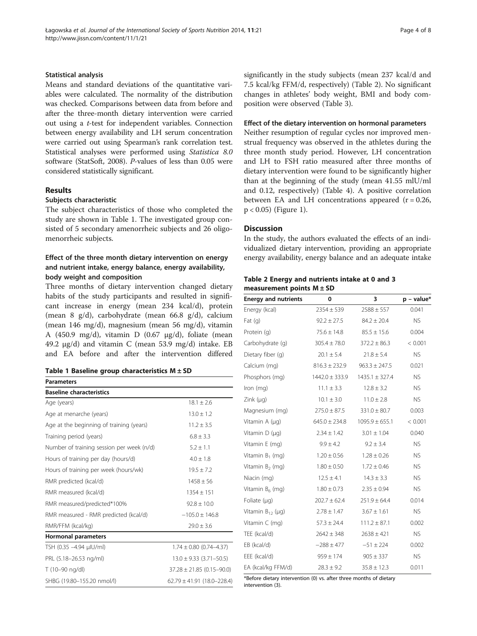## Statistical analysis

Means and standard deviations of the quantitative variables were calculated. The normality of the distribution was checked. Comparisons between data from before and after the three-month dietary intervention were carried out using a t-test for independent variables. Connection between energy availability and LH serum concentration were carried out using Spearman's rank correlation test. Statistical analyses were performed using Statistica 8.0 software (StatSoft, 2008). P-values of less than 0.05 were considered statistically significant.

## Results

## Subjects characteristic

The subject characteristics of those who completed the study are shown in Table 1. The investigated group consisted of 5 secondary amenorrheic subjects and 26 oligomenorrheic subjects.

## Effect of the three month dietary intervention on energy and nutrient intake, energy balance, energy availability, body weight and composition

Three months of dietary intervention changed dietary habits of the study participants and resulted in significant increase in energy (mean 234 kcal/d), protein (mean 8 g/d), carbohydrate (mean 66.8 g/d), calcium (mean 146 mg/d), magnesium (mean 56 mg/d), vitamin A (450.9 mg/d), vitamin D (0.67 μg/d), foliate (mean 49.2 μg/d) and vitamin C (mean 53.9 mg/d) intake. EB and EA before and after the intervention differed

|  |  |  | Table 1 Baseline group characteristics $M \pm SD$ |  |
|--|--|--|---------------------------------------------------|--|
|--|--|--|---------------------------------------------------|--|

| <b>Parameters</b>                         |                                |
|-------------------------------------------|--------------------------------|
| <b>Baseline characteristics</b>           |                                |
| Age (years)                               | $18.1 \pm 2.6$                 |
| Age at menarche (years)                   | $13.0 \pm 1.2$                 |
| Age at the beginning of training (years)  | $11.2 \pm 3.5$                 |
| Training period (years)                   | $6.8 \pm 3.3$                  |
| Number of training session per week (n/d) | $5.2 \pm 1.1$                  |
| Hours of training per day (hours/d)       | $4.0 \pm 1.8$                  |
| Hours of training per week (hours/wk)     | $19.5 + 7.2$                   |
| RMR predicted (kcal/d)                    | $1458 + 56$                    |
| RMR measured (kcal/d)                     | $1354 \pm 151$                 |
| RMR measured/predicted*100%               | $92.8 + 10.0$                  |
| RMR measured - RMR predicted (kcal/d)     | $-105.0 \pm 146.8$             |
| RMR/FFM (kcal/kg)                         | $29.0 \pm 3.6$                 |
| <b>Hormonal parameters</b>                |                                |
| TSH (0.35 -4.94 µIU/ml)                   | $1.74 \pm 0.80$ (0.74-4.37)    |
| PRL (5.18-26.53 ng/ml)                    | $13.0 \pm 9.33$ (3.71-50.5)    |
| T (10-90 ng/dl)                           | $37.28 \pm 21.85$ (0.15-90.0)  |
| SHBG (19.80-155.20 nmol/l)                | $62.79 \pm 41.91$ (18.0-228.4) |

significantly in the study subjects (mean 237 kcal/d and 7.5 kcal/kg FFM/d, respectively) (Table 2). No significant changes in athletes' body weight, BMI and body composition were observed (Table [3\)](#page-4-0).

## Effect of the dietary intervention on hormonal parameters

Neither resumption of regular cycles nor improved menstrual frequency was observed in the athletes during the three month study period. However, LH concentration and LH to FSH ratio measured after three months of dietary intervention were found to be significantly higher than at the beginning of the study (mean 41.55 mlU/ml and 0.12, respectively) (Table [4](#page-4-0)). A positive correlation between EA and LH concentrations appeared  $(r = 0.26,$  $p < 0.05$ ) (Figure [1\)](#page-5-0).

## **Discussion**

In the study, the authors evaluated the effects of an individualized dietary intervention, providing an appropriate energy availability, energy balance and an adequate intake

| Table 2 Energy and nutrients intake at 0 and 3 |  |
|------------------------------------------------|--|
| measurement points $M \pm SD$                  |  |

| <b>Energy and nutrients</b> | 0                  | 3                  | $p - value*$ |
|-----------------------------|--------------------|--------------------|--------------|
| Energy (kcal)               | $2354 \pm 539$     | $2588 \pm 557$     | 0.041        |
| Fat $(q)$                   | $92.2 \pm 27.5$    | $84.2 \pm 20.4$    | NS.          |
| Protein (g)                 | $75.6 \pm 14.8$    | $85.5 \pm 15.6$    | 0.004        |
| Carbohydrate (q)            | $305.4 \pm 78.0$   | $372.2 \pm 86.3$   | < 0.001      |
| Dietary fiber (q)           | $20.1 \pm 5.4$     | $21.8 \pm 5.4$     | NS.          |
| Calcium (mg)                | $816.3 \pm 232.9$  | $963.3 \pm 247.5$  | 0.021        |
| Phosphors (mg)              | $1442.0 \pm 333.9$ | $1435.1 \pm 327.4$ | NS.          |
| Iron (mg)                   | $11.1 \pm 3.3$     | $12.8 \pm 3.2$     | NS.          |
| $Zink$ ( $\mu$ g)           | $10.1 \pm 3.0$     | $11.0 \pm 2.8$     | <b>NS</b>    |
| Magnesium (mg)              | $275.0 \pm 87.5$   | $331.0 \pm 80.7$   | 0.003        |
| Vitamin A (µq)              | $645.0 \pm 234.8$  | $1095.9 \pm 655.1$ | < 0.001      |
| Vitamin $D(\mu q)$          | $2.34 \pm 1.42$    | $3.01 \pm 1.04$    | 0.040        |
| Vitamin E (mg)              | $9.9 \pm 4.2$      | $9.2 \pm 3.4$      | <b>NS</b>    |
| Vitamin $B_1$ (mg)          | $1.20 \pm 0.56$    | $1.28 \pm 0.26$    | <b>NS</b>    |
| Vitamin $B_2$ (mg)          | $1.80 \pm 0.50$    | $1.72 \pm 0.46$    | <b>NS</b>    |
| Niacin (mg)                 | $12.5 \pm 4.1$     | $14.3 \pm 3.3$     | <b>NS</b>    |
| Vitamin $B_6$ (mg)          | $1.80 \pm 0.73$    | $2.35 \pm 0.94$    | NS.          |
| Foliate (µg)                | $202.7 \pm 62.4$   | $251.9 \pm 64.4$   | 0.014        |
| Vitamin $B_{12}$ ( $\mu$ g) | $2.78 \pm 1.47$    | $3.67 \pm 1.61$    | NS.          |
| Vitamin C (mg)              | $57.3 \pm 24.4$    | $111.2 \pm 87.1$   | 0.002        |
| TEE (kcal/d)                | $2642 \pm 348$     | $2638 \pm 421$     | <b>NS</b>    |
| EB (kcal/d)                 | $-288 \pm 477$     | $-51 \pm 224$      | 0.002        |
| EEE (kcal/d)                | $959 \pm 174$      | $905 \pm 337$      | NS.          |
| EA (kcal/kg FFM/d)          | $28.3 \pm 9.2$     | $35.8 \pm 12.3$    | 0.011        |

\*Before dietary intervention (0) vs. after three months of dietary intervention (3).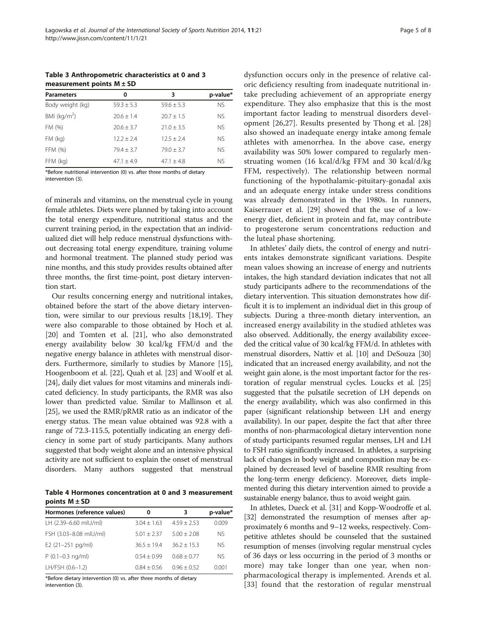<span id="page-4-0"></span>Table 3 Anthropometric characteristics at 0 and 3 measurement points  $M \pm SD$ 

| <b>Parameters</b> | 0            | 3            | p-value*  |
|-------------------|--------------|--------------|-----------|
| Body weight (kg)  | $59.3 + 5.3$ | $59.6 + 5.3$ | <b>NS</b> |
| BMI ( $kg/m2$ )   | $20.6 + 1.4$ | $20.7 + 1.5$ | NS.       |
| FM (%)            | $20.6 + 3.7$ | $21.0 + 3.5$ | <b>NS</b> |
| $FM$ ( $kq$ )     | $12.2 + 2.4$ | $12.5 + 2.4$ | NS.       |
| FFM (%)           | $79.4 + 3.7$ | $79.0 + 3.7$ | <b>NS</b> |
| FFM (kg)          | $47.1 + 4.9$ | $47.1 + 4.8$ | NS.       |

\*Before nutritional intervention (0) vs. after three months of dietary intervention (3).

of minerals and vitamins, on the menstrual cycle in young female athletes. Diets were planned by taking into account the total energy expenditure, nutritional status and the current training period, in the expectation that an individualized diet will help reduce menstrual dysfunctions without decreasing total energy expenditure, training volume and hormonal treatment. The planned study period was nine months, and this study provides results obtained after three months, the first time-point, post dietary intervention start.

Our results concerning energy and nutritional intakes, obtained before the start of the above dietary intervention, were similar to our previous results [[18](#page-6-0),[19](#page-6-0)]. They were also comparable to those obtained by Hoch et al. [[20\]](#page-6-0) and Tomten et al. [\[21\]](#page-6-0), who also demonstrated energy availability below 30 kcal/kg FFM/d and the negative energy balance in athletes with menstrual disorders. Furthermore, similarly to studies by Manore [\[15](#page-6-0)], Hoogenboom et al. [\[22\]](#page-6-0), Quah et al. [\[23\]](#page-6-0) and Woolf et al. [[24](#page-6-0)], daily diet values for most vitamins and minerals indicated deficiency. In study participants, the RMR was also lower than predicted value. Similar to Mallinson et al. [[25](#page-6-0)], we used the RMR/pRMR ratio as an indicator of the energy status. The mean value obtained was 92.8 with a range of 72.3-115.5, potentially indicating an energy deficiency in some part of study participants. Many authors suggested that body weight alone and an intensive physical activity are not sufficient to explain the onset of menstrual disorders. Many authors suggested that menstrual

Table 4 Hormones concentration at 0 and 3 measurement points M ± SD

| Hormones (reference values) | 0             | з             | p-value* |
|-----------------------------|---------------|---------------|----------|
| LH (2.39-6.60 mlU/ml)       | $3.04 + 1.63$ | $4.59 + 2.53$ | 0.009    |
| FSH (3.03-8.08 mlU/ml)      | $5.01 + 2.37$ | $5.00 + 2.08$ | NS.      |
| E2 $(21-251)$ pg/ml         | $36.5 + 19.4$ | $36.2 + 15.3$ | NS.      |
| $P(0.1-0.3 \text{ ng/ml})$  | $0.54 + 0.99$ | $0.68 + 0.77$ | NS.      |
| LH/FSH (0.6-1.2)            | $0.84 + 0.56$ | $0.96 + 0.52$ | 0.001    |

\*Before dietary intervention (0) vs. after three months of dietary intervention (3).

dysfunction occurs only in the presence of relative caloric deficiency resulting from inadequate nutritional intake precluding achievement of an appropriate energy expenditure. They also emphasize that this is the most important factor leading to menstrual disorders development [[26,27](#page-6-0)]. Results presented by Thong et al. [\[28](#page-6-0)] also showed an inadequate energy intake among female athletes with amenorrhea. In the above case, energy availability was 50% lower compared to regularly menstruating women (16 kcal/d/kg FFM and 30 kcal/d/kg FFM, respectively). The relationship between normal functioning of the hypothalamic-pituitary-gonadal axis and an adequate energy intake under stress conditions was already demonstrated in the 1980s. In runners, Kaiserrauer et al. [[29\]](#page-6-0) showed that the use of a lowenergy diet, deficient in protein and fat, may contribute to progesterone serum concentrations reduction and the luteal phase shortening.

In athletes' daily diets, the control of energy and nutrients intakes demonstrate significant variations. Despite mean values showing an increase of energy and nutrients intakes, the high standard deviation indicates that not all study participants adhere to the recommendations of the dietary intervention. This situation demonstrates how difficult it is to implement an individual diet in this group of subjects. During a three-month dietary intervention, an increased energy availability in the studied athletes was also observed. Additionally, the energy availability exceeded the critical value of 30 kcal/kg FFM/d. In athletes with menstrual disorders, Nattiv et al. [\[10\]](#page-6-0) and DeSouza [[30](#page-6-0)] indicated that an increased energy availability, and not the weight gain alone, is the most important factor for the restoration of regular menstrual cycles. Loucks et al. [[25](#page-6-0)] suggested that the pulsatile secretion of LH depends on the energy availability, which was also confirmed in this paper (significant relationship between LH and energy availability). In our paper, despite the fact that after three months of non-pharmacological dietary intervention none of study participants resumed regular menses, LH and LH to FSH ratio significantly increased. In athletes, a surprising lack of changes in body weight and composition may be explained by decreased level of baseline RMR resulting from the long-term energy deficiency. Moreover, diets implemented during this dietary intervention aimed to provide a sustainable energy balance, thus to avoid weight gain.

In athletes, Dueck et al. [\[31\]](#page-6-0) and Kopp-Woodroffe et al. [[32](#page-6-0)] demonstrated the resumption of menses after approximately 6 months and 9–12 weeks, respectively. Competitive athletes should be counseled that the sustained resumption of menses (involving regular menstrual cycles of 36 days or less occurring in the period of 3 months or more) may take longer than one year, when nonpharmacological therapy is implemented. Arends et al. [[33](#page-6-0)] found that the restoration of regular menstrual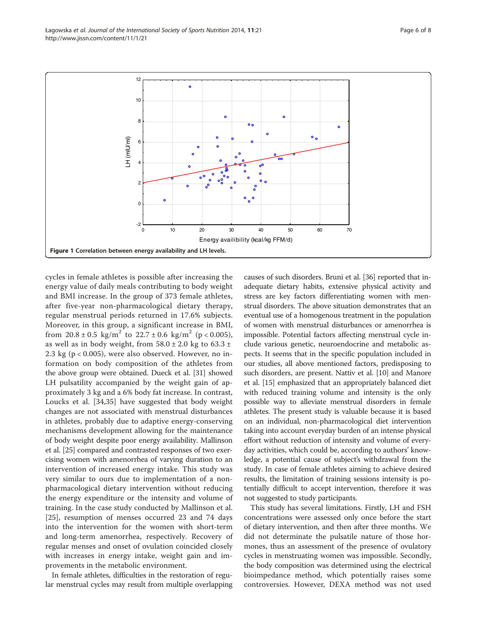<span id="page-5-0"></span>

cycles in female athletes is possible after increasing the energy value of daily meals contributing to body weight and BMI increase. In the group of 373 female athletes, after five-year non-pharmacological dietary therapy, regular menstrual periods returned in 17.6% subjects. Moreover, in this group, a significant increase in BMI, from  $20.8 \pm 0.5$  kg/m<sup>2</sup> to  $22.7 \pm 0.6$  kg/m<sup>2</sup> (p < 0.005), as well as in body weight, from  $58.0 \pm 2.0$  kg to  $63.3 \pm 1.0$ 2.3 kg ( $p < 0.005$ ), were also observed. However, no information on body composition of the athletes from the above group were obtained. Dueck et al. [\[31\]](#page-6-0) showed LH pulsatility accompanied by the weight gain of approximately 3 kg and a 6% body fat increase. In contrast, Loucks et al. [[34,35](#page-7-0)] have suggested that body weight changes are not associated with menstrual disturbances in athletes, probably due to adaptive energy-conserving mechanisms development allowing for the maintenance of body weight despite poor energy availability. Mallinson et al. [\[25\]](#page-6-0) compared and contrasted responses of two exercising women with amenorrhea of varying duration to an intervention of increased energy intake. This study was very similar to ours due to implementation of a nonpharmacological dietary intervention without reducing the energy expenditure or the intensity and volume of training. In the case study conducted by Mallinson et al. [[25\]](#page-6-0), resumption of menses occurred 23 and 74 days into the intervention for the women with short-term and long-term amenorrhea, respectively. Recovery of regular menses and onset of ovulation coincided closely with increases in energy intake, weight gain and improvements in the metabolic environment.

In female athletes, difficulties in the restoration of regular menstrual cycles may result from multiple overlapping

causes of such disorders. Bruni et al. [\[36\]](#page-7-0) reported that inadequate dietary habits, extensive physical activity and stress are key factors differentiating women with menstrual disorders. The above situation demonstrates that an eventual use of a homogenous treatment in the population of women with menstrual disturbances or amenorrhea is impossible. Potential factors affecting menstrual cycle include various genetic, neuroendocrine and metabolic aspects. It seems that in the specific population included in our studies, all above mentioned factors, predisposing to such disorders, are present. Nattiv et al. [[10](#page-6-0)] and Manore et al. [[15](#page-6-0)] emphasized that an appropriately balanced diet with reduced training volume and intensity is the only possible way to alleviate menstrual disorders in female athletes. The present study is valuable because it is based on an individual, non-pharmacological diet intervention taking into account everyday burden of an intense physical effort without reduction of intensity and volume of everyday activities, which could be, according to authors' knowledge, a potential cause of subject's withdrawal from the study. In case of female athletes aiming to achieve desired results, the limitation of training sessions intensity is potentially difficult to accept intervention, therefore it was not suggested to study participants.

This study has several limitations. Firstly, LH and FSH concentrations were assessed only once before the start of dietary intervention, and then after three months. We did not determinate the pulsatile nature of those hormones, thus an assessment of the presence of ovulatory cycles in menstruating women was impossible. Secondly, the body composition was determined using the electrical bioimpedance method, which potentially raises some controversies. However, DEXA method was not used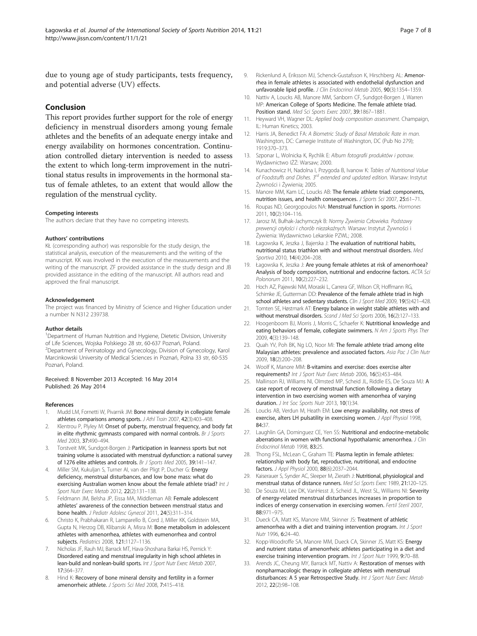<span id="page-6-0"></span>due to young age of study participants, tests frequency, and potential adverse (UV) effects.

## Conclusion

This report provides further support for the role of energy deficiency in menstrual disorders among young female athletes and the benefits of an adequate energy intake and energy availability on hormones concentration. Continuation controlled dietary intervention is needed to assess the extent to which long-term improvement in the nutritional status results in improvements in the hormonal status of female athletes, to an extent that would allow the regulation of the menstrual cyclity.

#### Competing interests

The authors declare that they have no competing interests.

#### Authors' contributions

KŁ (corresponding author) was responsible for the study design, the statistical analysis, execution of the measurements and the writing of the manuscript. KK was involved in the execution of the measurements and the writing of the manuscript. ZF provided assistance in the study design and JB provided assistance in the editing of the manuscript. All authors read and approved the final manuscript.

#### Acknowledgement

The project was financed by Ministry of Science and Higher Education under a number N N312 239738.

### Author details

<sup>1</sup>Department of Human Nutrition and Hygiene, Dietetic Division, University of Life Sciences, Wojska Polskiego 28 str, 60-637 Poznań, Poland. <sup>2</sup> Department of Perinatology and Gynecology, Division of Gynecology, Karol Marcinkowski University of Medical Sciences in Poznań, Polna 33 str, 60-535 Poznań, Poland.

### Received: 8 November 2013 Accepted: 16 May 2014 Published: 26 May 2014

#### References

- 1. Mudd LM, Fornetti W, Pivarnik JM: Bone mineral density in collegiate female athletes comparisons among sports. J Athl Train 2007, 42(3):403–408.
- Klentrou P, Plyley M: Onset of puberty, menstrual frequency, and body fat in elite rhythmic gymnasts compared with normal controls. Br J Sports Med 2003, 37:490–494.
- Torstveit MK, Sundgot-Borgen J: Participation in leanness sports but not training volume is associated with menstrual dysfunction: a national survey of 1276 elite athletes and controls. Br J Sports Med 2005, 39:141–147.
- 4. Miller SM, Kukuljan S, Turner AI, van der Pligt P, Ducher G: Energy deficiency, menstrual disturbances, and low bone mass: what do exercising Australian women know about the female athlete triad? Int J Sport Nutr Exerc Metab 2012, 22(2):131–138.
- Feldmann JM, Belsha JP, Eissa MA, Middleman AB: Female adolescent athletes' awareness of the connection between menstrual status and bone health. J Pediatr Adolesc Gynecol 2011, 24(5):311–314.
- 6. Christo K, Prabhakaran R, Lamparello B, Cord J, Miller KK, Goldstein MA, Gupta N, Herzog DB, Klibanski A, Misra M: Bone metabolism in adolescent athletes with amenorrhea, athletes with eumenorrhea and control subjects. Pediatrics 2008, 121:1127–1136.
- 7. Nicholas JF, Rauh MJ, Barrack MT, Hava-Shoshana Barkai HS, Pernick Y: Disordered eating and menstrual irregularity in high school athletes in lean-build and nonlean-build sports. Int J Sport Nutr Exerc Metab 2007, 17:364–377.
- 8. Hind K: Recovery of bone mineral density and fertility in a former amenorrheic athlete. J Sports Sci Med 2008, 7:415–418.
- 9. Rickenlund A, Eriksson MJ, Schenck-Gustafsson K, Hirschberg AL: Amenorrhea in female athletes is associated with endothelial dysfunction and unfavorable lipid profile. J Clin Endocrinol Metab 2005, 90(3):1354–1359.
- 10. Nattiv A, Loucks AB, Manore MM, Sanborn CF, Sundgot-Borgen J, Warren MP: American College of Sports Medicine. The female athlete triad. Position stand. Med Sci Sports Exerc 2007, 39:1867-1881.
- 11. Heyward VH, Wagner DL: Applied body composition assessment. Champaign, IL: Human Kinetics; 2003.
- 12. Harris JA, Benedict FA: A Biometric Study of Basal Metabolic Rate in man. Washington, DC: Carnegie Institute of Washington, DC (Pub No 279); 1919:370–373.
- 13. Szponar L, Wolnicka K, Rychlik E: Album fotografii produktów i potraw. Wydawnictwo IŻŻ: Warsaw; 2000.
- 14. Kunachowicz H, Nadolna I, Przygoda B, Ivanow K: *Tables of Nutritional Value*<br>19. *of Foodstuffs and Dishes. 3<sup>rd</sup> extended and updated edition. Warsaw: Instytut* Żywności i Żywienia; 2005.
- 15. Manore MM, Kam LC, Loucks AB: The female athlete triad: components, nutrition issues, and health consequences. J Sports Sci 2007, 25:61-71.
- 16. Roupas ND, Georgopoulos NA: Menstrual function in sports. Hormones 2011, 10(2):104–116.
- 17. Jarosz M, Bułhak-Jachymczyk B: Normy Żywienia Człowieka. Podstawy prewencji otyłości i chorób niezakaźnych. Warsaw: Instytut Żywności i Żywienia: Wydawnictwo Lekarskie PZWL; 2008.
- 18. Łagowska K, Jeszka J, Bajerska J: The evaluation of nutritional habits, nutritional status triathlon with and without menstrual disorders. Med Sportiva 2010, 14(4):204–208.
- 19. Łagowska K, Jeszka J: Are young female athletes at risk of amenorrhoea? Analysis of body composition, nutritional and endocrine factors. ACTA Sci Polonorum 2011, 10(2):227–232.
- 20. Hoch AZ, Pajewski NM, Moraski L, Carrera GF, Wilson CR, Hoffmann RG, Schimke JE, Gutterman DD: Prevalence of the female athlete triad in high school athletes and sedentary students. Clin J Sport Med 2009, 19(5):421-428.
- 21. Tomten SE, Høstmark AT: Energy balance in weight stable athletes with and without menstrual disorders. Scand J Med Sci Sports 2006, 16(2):127-133.
- 22. Hoogenboom BJ, Morris J, Morris C, Schaefer K: Nutritional knowledge and eating behaviors of female, collegiate swimmers. N Am J Sports Phys Ther 2009, 4(3):139–148.
- 23. Quah YV, Poh BK, Ng LO, Noor MI: The female athlete triad among elite Malaysian athletes: prevalence and associated factors. Asia Pac J Clin Nutr 2009, 18(2):200–208.
- 24. Woolf K, Manore MM: B-vitamins and exercise: does exercise alter requirements? Int J Sport Nutr Exerc Metab 2006, 16(5):453–484.
- 25. Mallinson RJ, Williams NI, Olmsted MP, Scheid JL, Riddle ES, De Souza MJ: A case report of recovery of menstrual function following a dietary intervention in two exercising women with amenorrhea of varying duration. J Int Soc Sports Nutr 2013, 10(1):34.
- 26. Loucks AB, Verdun M, Heath EM: Low energy availability, not stress of exercise, alters LH pulsatility in exercising women. J Appl Physiol 1998, 84:37.
- 27. Laughlin GA, Dominguez CE, Yen SS: Nutritional and endocrine-metabolic aberrations in women with functional hypothalamic amenorrhea.  $J$  Clin Endocrinol Metab 1998, 83:25.
- 28. Thong FSL, McLean C, Graham TE: Plasma leptin in female athletes: relationship with body fat, reproductive, nutritional, and endocrine factors. J Appl Physiol 2000, 88(6):2037–2044.
- 29. Kaiserauer S, Synder AC, Sleeper M, Zierath J: Nutritional, physiological and menstrual status of distance runners. Med Sci Sports Exerc 1989, 21:120–125.
- 30. De Souza MJ, Lee DK, VanHesst Jl, Scheid JL, West SL, Williams NI: Severity of energy-related menstrual disturbances increases in proportion to indices of energy conservation in exercising women. Fertil Steril 2007, 88:971–975.
- 31. Dueck CA, Matt KS, Manore MM, Skinner JS: Treatment of athletic amenorrhea with a diet and training intervention program. Int J Sport Nutr 1996, 6:24–40.
- 32. Kopp-Woodroffe SA, Manore MM, Dueck CA, Skinner JS, Matt KS: Energy and nutrient status of amenorrheic athletes participating in a diet and exercise training intervention program. Int J Sport Nutr 1999, 9:70-88.
- 33. Arends JC, Cheung MY, Barrack MT, Nattiv A: Restoration of menses with nonpharmacologic therapy in collegiate athletes with menstrual disturbances: A 5 year Retrospective Study. Int J Sport Nutr Exerc Metab 2012, 22(2):98–108.